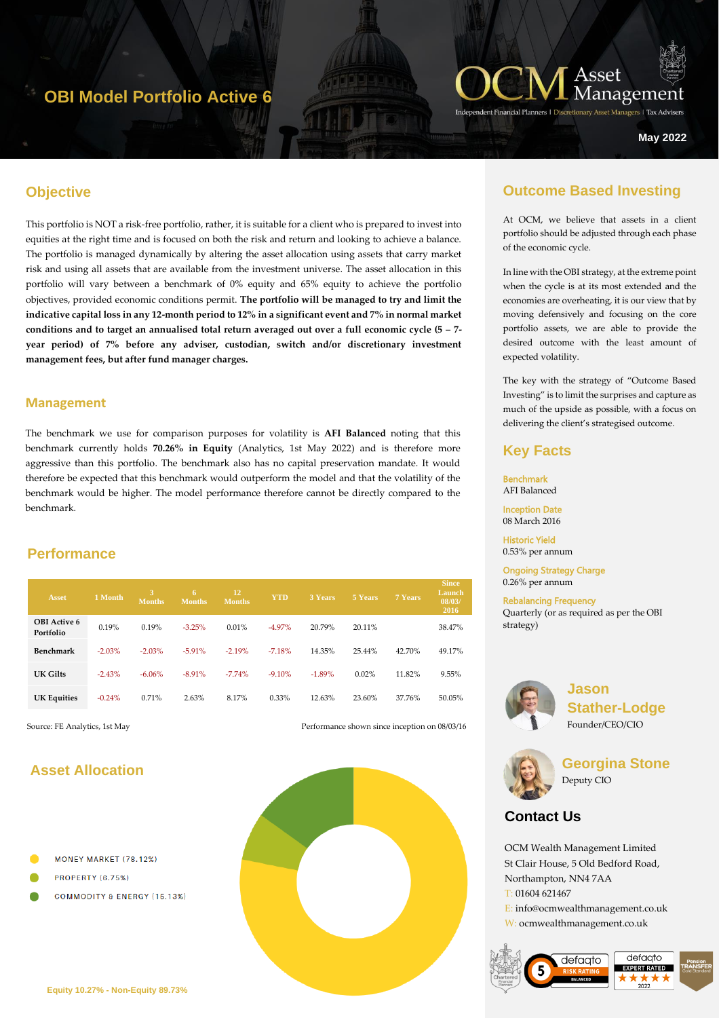## **OBI Model Portfolio Active 6**



zers | Tax Advise

**May 2022**

## **Objective**

hgyt67 This portfolio is NOT a risk-free portfolio, rather, it is suitable for a client who is prepared to invest into equities at the right time and is focused on both the risk and return and looking to achieve a balance. The portfolio is managed dynamically by altering the asset allocation using assets that carry market risk and using all assets that are available from the investment universe. The asset allocation in this portfolio will vary between a benchmark of 0% equity and 65% equity to achieve the portfolio objectives, provided economic conditions permit. **The portfolio will be managed to try and limit the indicative capital loss in any 12-month period to 12% in a significant event and 7% in normal market conditions and to target an annualised total return averaged out over a full economic cycle (5 – 7 year period) of 7% before any adviser, custodian, switch and/or discretionary investment management fees, but after fund manager charges.**

#### **Management**

The benchmark we use for comparison purposes for volatility is **AFI Balanced** noting that this benchmark currently holds **70.26% in Equity** (Analytics, 1st May 2022) and is therefore more aggressive than this portfolio. The benchmark also has no capital preservation mandate. It would therefore be expected that this benchmark would outperform the model and that the volatility of the benchmark would be higher. The model performance therefore cannot be directly compared to the benchmark.

#### **Performance**

| <b>Asset</b>                     | 1 Month  | 3.<br><b>Months</b> | 6<br><b>Months</b> | 12<br><b>Months</b> | <b>YTD</b> | 3 Years  | 5 Years | 7 Years | <b>Since</b><br>Launch<br>08/03/<br>2016 |
|----------------------------------|----------|---------------------|--------------------|---------------------|------------|----------|---------|---------|------------------------------------------|
| <b>OBI</b> Active 6<br>Portfolio | 0.19%    | 0.19%               | $-3.25%$           | 0.01%               | $-4.97%$   | 20.79%   | 20.11%  |         | 38.47%                                   |
| <b>Benchmark</b>                 | $-2.03%$ | $-2.03%$            | $-5.91%$           | $-2.19%$            | $-7.18%$   | 14.35%   | 25.44%  | 42.70%  | 49.17%                                   |
| UK Gilts                         | $-2.43%$ | $-6.06%$            | $-8.91%$           | $-7.74\%$           | $-9.10%$   | $-1.89%$ | 0.02%   | 11.82%  | 9.55%                                    |
| <b>UK Equities</b>               | $-0.24%$ | 0.71%               | 2.63%              | 8.17%               | $0.33\%$   | 12.63%   | 23.60%  | 37.76%  | 50.05%                                   |

Source: FE Analytics, 1st May Performance shown since inception on 08/03/16

## **Asset Allocation**

- MONEY MARKET (78.12%)
- PROPERTY (6.75%)
- **COMMODITY & ENERGY (15.13%)**



## **Outcome Based Investing**

At OCM, we believe that assets in a client portfolio should be adjusted through each phase of the economic cycle.

In line with the OBI strategy, at the extreme point when the cycle is at its most extended and the economies are overheating, it is our view that by moving defensively and focusing on the core portfolio assets, we are able to provide the desired outcome with the least amount of expected volatility.

The key with the strategy of "Outcome Based Investing" is to limit the surprises and capture as much of the upside as possible, with a focus on delivering the client's strategised outcome.

#### **Key Facts**

Benchmark AFI Balanced Inception Date

08 March 2016

Historic Yield 0.53% per annum

Ongoing Strategy Charge 0.26% per annum

Rebalancing Frequency Quarterly (or as required as per the OBI strategy)



**Jason Stather-Lodge** Founder/CEO/CIO



**Georgina Stone** Deputy CIO

## **Contact Us**

OCM Wealth Management Limited St Clair House, 5 Old Bedford Road, Northampton, NN4 7AA T: 01604 621467 E: info@ocmwealthmanagement.co.uk W: ocmwealthmanagement.co.uk